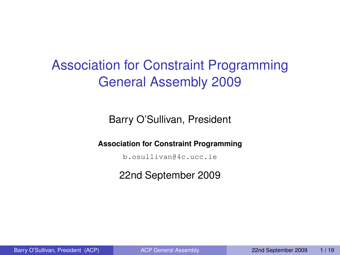# Association for Constraint Programming General Assembly 2009

Barry O'Sullivan, President

**Association for Constraint Programming**

b.osullivan@4c.ucc.ie

<span id="page-0-0"></span>22nd September 2009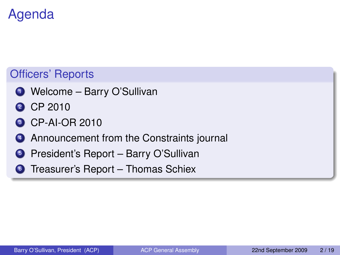# Agenda

## Officers' Reports

- <sup>1</sup> Welcome Barry O'Sullivan
- 2 CP 2010
- **3 CP-AI-OR 2010**
- 4 Announcement from the Constraints journal
- **5** President's Report Barry O'Sullivan
- **6** Treasurer's Report Thomas Schiex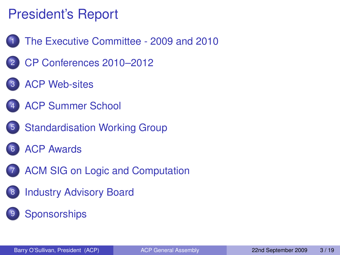# President's Report

- 1 [The Executive Committee 2009 and 2010](#page-3-0)
- 2 [CP Conferences 2010–2012](#page-6-0)
- **[ACP Web-sites](#page-9-0)**
- **[ACP Summer School](#page-10-0)**
- 5 [Standardisation Working Group](#page-11-0)
- **[ACP Awards](#page-12-0)**
- [ACM SIG on Logic and Computation](#page-15-0)
- **[Industry Advisory Board](#page-16-0)**
- **[Sponsorships](#page-17-0)**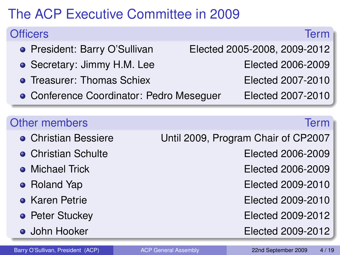# The ACP Executive Committee in 2009

| <b>Officers</b>                          | Term                                |
|------------------------------------------|-------------------------------------|
| • President: Barry O'Sullivan            | Elected 2005-2008, 2009-2012        |
| • Secretary: Jimmy H.M. Lee              | Elected 2006-2009                   |
| • Treasurer: Thomas Schiex               | Elected 2007-2010                   |
| • Conference Coordinator: Pedro Meseguer | Elected 2007-2010                   |
|                                          |                                     |
| <b>Other members</b>                     | <b>Term</b>                         |
| • Christian Bessiere                     | Until 2009, Program Chair of CP2007 |
| • Christian Schulte                      | Elected 2006-2009                   |
| $\bullet$ Michael Trick                  | Elected 2006-2009                   |
| • Roland Yap                             | Elected 2009-2010                   |
| • Karen Petrie                           | Elected 2009-2010                   |
| • Peter Stuckey                          | Elected 2009-2012                   |
| • John Hooker                            | Elected 2009-2012                   |
|                                          |                                     |

<span id="page-3-0"></span>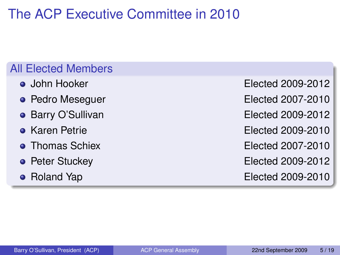# The ACP Executive Committee in 2010

### All Elected Members

- 
- 
- 
- 
- 
- 
- 

John Hooker Elected 2009-2012 • Pedro Mesequer **Elected 2007-2010** • Barry O'Sullivan **Elected 2009-2012** Karen Petrie Elected 2009-2010 • Thomas Schiex **Elected 2007-2010 • Peter Stuckey Elected 2009-2012** • Roland Yap **Elected 2009-2010**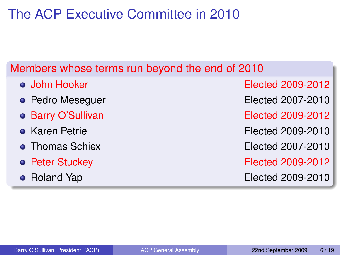# The ACP Executive Committee in 2010

### Members whose terms run beyond the end of 2010

- 
- 
- 
- 
- 
- 
- 

John Hooker Elected 2009-2012 • Pedro Meseguer **Elected 2007-2010** • Barry O'Sullivan **Elected 2009-2012** Karen Petrie Elected 2009-2010 • Thomas Schiex **Elected 2007-2010 • Peter Stuckey Elected 2009-2012** • Roland Yap **Elected 2009-2010**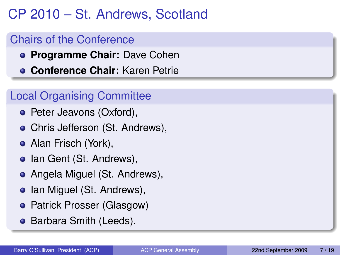# CP 2010 – St. Andrews, Scotland

## Chairs of the Conference

- **Programme Chair:** Dave Cohen
- **Conference Chair:** Karen Petrie

## Local Organising Committee

- Peter Jeavons (Oxford),
- Chris Jefferson (St. Andrews),
- Alan Frisch (York),
- Ian Gent (St. Andrews),
- Angela Miguel (St. Andrews),
- Ian Miguel (St. Andrews),
- Patrick Prosser (Glasgow)
- <span id="page-6-0"></span>**• Barbara Smith (Leeds).**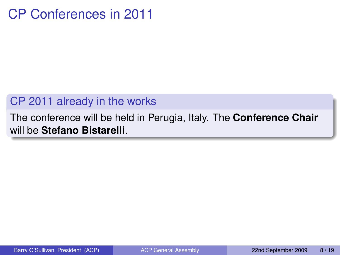## CP Conferences in 2011

### CP 2011 already in the works

#### The conference will be held in Perugia, Italy. The **Conference Chair** will be **Stefano Bistarelli**.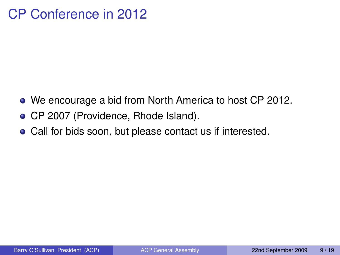## CP Conference in 2012

- We encourage a bid from North America to host CP 2012.
- CP 2007 (Providence, Rhode Island).
- Call for bids soon, but please contact us if interested.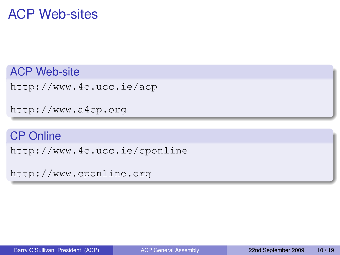## ACP Web-sites

ACP Web-site

<http://www.4c.ucc.ie/acp>

<http://www.a4cp.org>

#### CP Online

<http://www.4c.ucc.ie/cponline>

<span id="page-9-0"></span><http://www.cponline.org>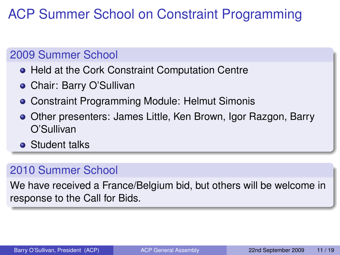# ACP Summer School on Constraint Programming

### 2009 Summer School

- **Held at the Cork Constraint Computation Centre**
- Chair: Barry O'Sullivan
- Constraint Programming Module: Helmut Simonis
- Other presenters: James Little, Ken Brown, Igor Razgon, Barry O'Sullivan
- **•** Student talks

## 2010 Summer School

<span id="page-10-0"></span>We have received a France/Belgium bid, but others will be welcome in response to the Call for Bids.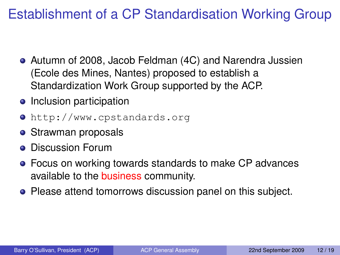# Establishment of a CP Standardisation Working Group

- Autumn of 2008, Jacob Feldman (4C) and Narendra Jussien (Ecole des Mines, Nantes) proposed to establish a Standardization Work Group supported by the ACP.
- Inclusion participation
- <http://www.cpstandards.org>
- Strawman proposals
- **Discussion Forum**
- Focus on working towards standards to make CP advances available to the business community.
- <span id="page-11-0"></span>**• Please attend tomorrows discussion panel on this subject.**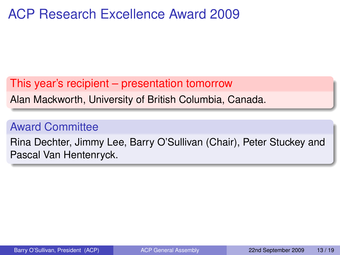## ACP Research Excellence Award 2009

#### This year's recipient – presentation tomorrow

Alan Mackworth, University of British Columbia, Canada.

### Award Committee

<span id="page-12-0"></span>Rina Dechter, Jimmy Lee, Barry O'Sullivan (Chair), Peter Stuckey and Pascal Van Hentenryck.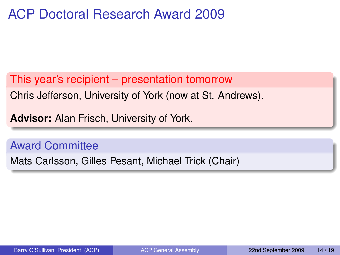## ACP Doctoral Research Award 2009

This year's recipient – presentation tomorrow

Chris Jefferson, University of York (now at St. Andrews).

**Advisor:** Alan Frisch, University of York.

Award Committee

Mats Carlsson, Gilles Pesant, Michael Trick (Chair)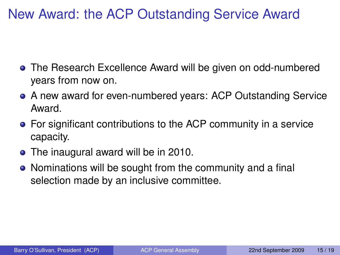## New Award: the ACP Outstanding Service Award

- The Research Excellence Award will be given on odd-numbered years from now on.
- A new award for even-numbered years: ACP Outstanding Service Award.
- For significant contributions to the ACP community in a service capacity.
- The inaugural award will be in 2010.
- Nominations will be sought from the community and a final selection made by an inclusive committee.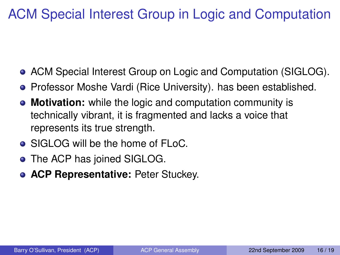# ACM Special Interest Group in Logic and Computation

- ACM Special Interest Group on Logic and Computation (SIGLOG).
- **•** Professor Moshe Vardi (Rice University). has been established.
- **Motivation:** while the logic and computation community is technically vibrant, it is fragmented and lacks a voice that represents its true strength.
- SIGLOG will be the home of FLoC.
- The ACP has joined SIGLOG.
- <span id="page-15-0"></span>**ACP Representative:** Peter Stuckey.  $\bullet$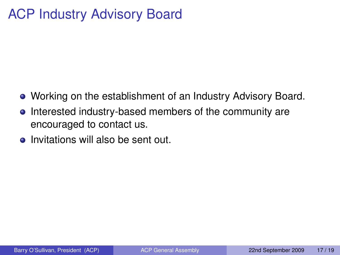## ACP Industry Advisory Board

- Working on the establishment of an Industry Advisory Board.
- Interested industry-based members of the community are  $\bullet$ encouraged to contact us.
- <span id="page-16-0"></span>Invitations will also be sent out.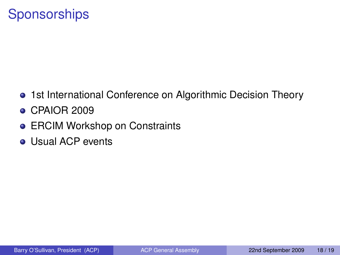## **Sponsorships**

- 1st International Conference on Algorithmic Decision Theory
- CPAIOR 2009
- **ERCIM Workshop on Constraints**
- <span id="page-17-0"></span>• Usual ACP events